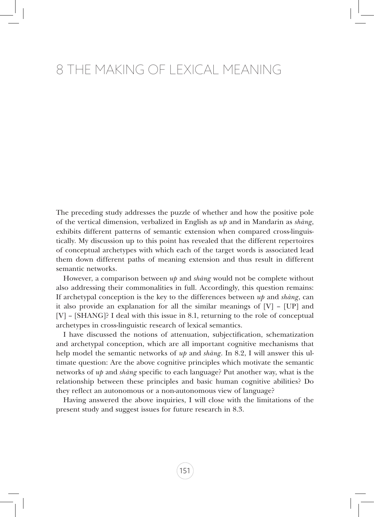## 8 The Making of Lexical Meaning

The preceding study addresses the puzzle of whether and how the positive pole of the vertical dimension, verbalized in English as *up* and in Mandarin as *shàng*, exhibits different patterns of semantic extension when compared cross-linguistically. My discussion up to this point has revealed that the different repertoires of conceptual archetypes with which each of the target words is associated lead them down different paths of meaning extension and thus result in different semantic networks.

However, a comparison between *up* and *shàng* would not be complete without also addressing their commonalities in full. Accordingly, this question remains: If archetypal conception is the key to the differences between *up* and *shàng*, can it also provide an explanation for all the similar meanings of  $[V]$  –  $[UP]$  and [V] – [SHANG]? I deal with this issue in 8.1, returning to the role of conceptual archetypes in cross-linguistic research of lexical semantics.

I have discussed the notions of attenuation, subjectification, schematization and archetypal conception, which are all important cognitive mechanisms that help model the semantic networks of *up* and *shàng*. In 8.2, I will answer this ultimate question: Are the above cognitive principles which motivate the semantic networks of *up* and *shàng* specific to each language? Put another way, what is the relationship between these principles and basic human cognitive abilities? Do they reflect an autonomous or a non-autonomous view of language?

Having answered the above inquiries, I will close with the limitations of the present study and suggest issues for future research in 8.3.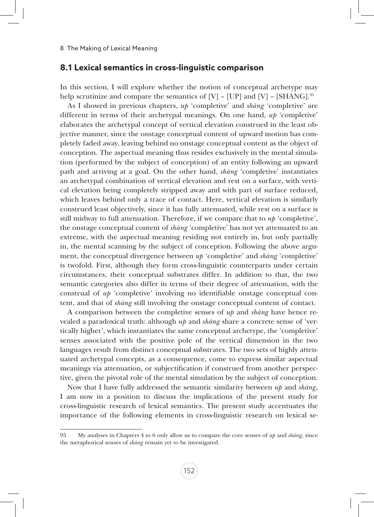## **8.1 Lexical semantics in cross-linguistic comparison**

In this section, I will explore whether the notion of conceptual archetype may help scrutinize and compare the semantics of  $[V]$  –  $[UP]$  and  $[V]$  –  $[SHANG]$ .<sup>95</sup>

As I showed in previous chapters, *up* 'completive' and *shàng* 'completive' are different in terms of their archetypal meanings. On one hand, *up* 'completive' elaborates the archetypal concept of vertical elevation construed in the least objective manner, since the onstage conceptual content of upward motion has completely faded away, leaving behind no onstage conceptual content as the object of conception. The aspectual meaning thus resides exclusively in the mental simulation (performed by the subject of conception) of an entity following an upward path and arriving at a goal. On the other hand, *shàng* 'completive' instantiates an archetypal combination of vertical elevation and rest on a surface, with vertical elevation being completely stripped away and with part of surface reduced, which leaves behind only a trace of contact. Here, vertical elevation is similarly construed least objectively, since it has fully attenuated, while rest on a surface is still midway to full attenuation. Therefore, if we compare that to *up* 'completive', the onstage conceptual content of *shàng* 'completive' has not yet attenuated to an extreme, with the aspectual meaning residing not entirely in, but only partially in, the mental scanning by the subject of conception. Following the above argument, the conceptual divergence between *up* 'completive' and *shàng* 'completive' is twofold. First, although they form cross-linguistic counterparts under certain circumstances, their conceptual substrates differ. In addition to that, the two semantic categories also differ in terms of their degree of attenuation, with the construal of *up* 'completive' involving no identifiable onstage conceptual content, and that of *shàng* still involving the onstage conceptual content of contact.

A comparison between the completive senses of *up* and *shàng* have hence revealed a paradoxical truth: although *up* and *shàng* share a concrete sense of 'vertically higher', which instantiates the same conceptual archetype, the 'completive' senses associated with the positive pole of the vertical dimension in the two languages result from distinct conceptual substrates. The two sets of highly attenuated archetypal concepts, as a consequence, come to express similar aspectual meanings via attenuation, or subjectification if construed from another perspective, given the pivotal role of the mental simulation by the subject of conception.

Now that I have fully addressed the semantic similarity between *up* and *shàng*, I am now in a position to discuss the implications of the present study for cross-linguistic research of lexical semantics. The present study accentuates the importance of the following elements in cross-linguistic research on lexical se-

<sup>95</sup> My analyses in Chapters 4 to 6 only allow us to compare the core senses of *up* and *shàng*, since the metaphorical senses of *shàng* remain yet to be investigated.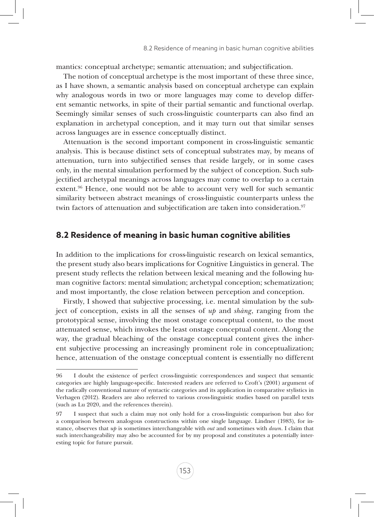mantics: conceptual archetype; semantic attenuation; and subjectification.

The notion of conceptual archetype is the most important of these three since, as I have shown, a semantic analysis based on conceptual archetype can explain why analogous words in two or more languages may come to develop different semantic networks, in spite of their partial semantic and functional overlap. Seemingly similar senses of such cross-linguistic counterparts can also find an explanation in archetypal conception, and it may turn out that similar senses across languages are in essence conceptually distinct.

Attenuation is the second important component in cross-linguistic semantic analysis. This is because distinct sets of conceptual substrates may, by means of attenuation, turn into subjectified senses that reside largely, or in some cases only, in the mental simulation performed by the subject of conception. Such subjectified archetypal meanings across languages may come to overlap to a certain extent.96 Hence, one would not be able to account very well for such semantic similarity between abstract meanings of cross-linguistic counterparts unless the twin factors of attenuation and subjectification are taken into consideration.<sup>97</sup>

## **8.2 Residence of meaning in basic human cognitive abilities**

In addition to the implications for cross-linguistic research on lexical semantics, the present study also bears implications for Cognitive Linguistics in general. The present study reflects the relation between lexical meaning and the following human cognitive factors: mental simulation; archetypal conception; schematization; and most importantly, the close relation between perception and conception.

Firstly, I showed that subjective processing, i.e. mental simulation by the subject of conception, exists in all the senses of *up* and *shàng*, ranging from the prototypical sense, involving the most onstage conceptual content, to the most attenuated sense, which invokes the least onstage conceptual content. Along the way, the gradual bleaching of the onstage conceptual content gives the inherent subjective processing an increasingly prominent role in conceptualization; hence, attenuation of the onstage conceptual content is essentially no different

<sup>96</sup> I doubt the existence of perfect cross-linguistic correspondences and suspect that semantic categories are highly language-specific. Interested readers are referred to Croft's (2001) argument of the radically conventional nature of syntactic categories and its application in comparative stylistics in Verhagen (2012). Readers are also referred to various cross-linguistic studies based on parallel texts (such as Lu 2020, and the references therein).

<sup>97</sup> I suspect that such a claim may not only hold for a cross-linguistic comparison but also for a comparison between analogous constructions within one single language. Lindner (1983), for instance, observes that *up* is sometimes interchangeable with *out* and sometimes with *down*. I claim that such interchangeability may also be accounted for by my proposal and constitutes a potentially interesting topic for future pursuit.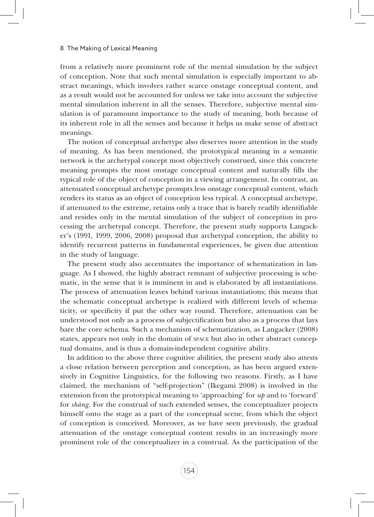from a relatively more prominent role of the mental simulation by the subject of conception. Note that such mental simulation is especially important to abstract meanings, which involves rather scarce onstage conceptual content, and as a result would not be accounted for unless we take into account the subjective mental simulation inherent in all the senses. Therefore, subjective mental simulation is of paramount importance to the study of meaning, both because of its inherent role in all the senses and because it helps us make sense of abstract meanings.

The notion of conceptual archetype also deserves more attention in the study of meaning. As has been mentioned, the prototypical meaning in a semantic network is the archetypal concept most objectively construed, since this concrete meaning prompts the most onstage conceptual content and naturally fills the typical role of the object of conception in a viewing arrangement. In contrast, an attenuated conceptual archetype prompts less onstage conceptual content, which renders its status as an object of conception less typical. A conceptual archetype, if attenuated to the extreme, retains only a trace that is barely readily identifiable and resides only in the mental simulation of the subject of conception in processing the archetypal concept. Therefore, the present study supports Langacker's (1991, 1999, 2006, 2008) proposal that archetypal conception, the ability to identify recurrent patterns in fundamental experiences, be given due attention in the study of language.

The present study also accentuates the importance of schematization in language. As I showed, the highly abstract remnant of subjective processing is schematic, in the sense that it is imminent in and is elaborated by all instantiations. The process of attenuation leaves behind various instantiations; this means that the schematic conceptual archetype is realized with different levels of schematicity, or specificity if put the other way round. Therefore, attenuation can be understood not only as a process of subjectification but also as a process that lays bare the core schema. Such a mechanism of schematization, as Langacker (2008) states, appears not only in the domain of space but also in other abstract conceptual domains, and is thus a domain-independent cognitive ability.

In addition to the above three cognitive abilities, the present study also attests a close relation between perception and conception, as has been argued extensively in Cognitive Linguistics, for the following two reasons. Firstly, as I have claimed, the mechanism of "self-projection" (Ikegami 2008) is involved in the extension from the prototypical meaning to 'approaching' for *up* and to 'forward' for *shàng*. For the construal of such extended senses, the conceptualizer projects himself onto the stage as a part of the conceptual scene, from which the object of conception is conceived. Moreover, as we have seen previously, the gradual attenuation of the onstage conceptual content results in an increasingly more prominent role of the conceptualizer in a construal. As the participation of the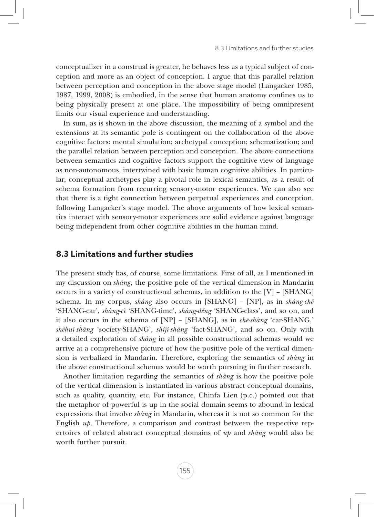conceptualizer in a construal is greater, he behaves less as a typical subject of conception and more as an object of conception. I argue that this parallel relation between perception and conception in the above stage model (Langacker 1985, 1987, 1999, 2008) is embodied, in the sense that human anatomy confines us to being physically present at one place. The impossibility of being omnipresent limits our visual experience and understanding.

In sum, as is shown in the above discussion, the meaning of a symbol and the extensions at its semantic pole is contingent on the collaboration of the above cognitive factors: mental simulation; archetypal conception; schematization; and the parallel relation between perception and conception. The above connections between semantics and cognitive factors support the cognitive view of language as non-autonomous, intertwined with basic human cognitive abilities. In particular, conceptual archetypes play a pivotal role in lexical semantics, as a result of schema formation from recurring sensory-motor experiences. We can also see that there is a tight connection between perpetual experiences and conception, following Langacker's stage model. The above arguments of how lexical semantics interact with sensory-motor experiences are solid evidence against language being independent from other cognitive abilities in the human mind.

## **8.3 Limitations and further studies**

The present study has, of course, some limitations. First of all, as I mentioned in my discussion on *shàng*, the positive pole of the vertical dimension in Mandarin occurs in a variety of constructional schemas, in addition to the [V] – [SHANG] schema. In my corpus, *shàng* also occurs in [SHANG] – [NP], as in *shàng-chē* 'SHANG-car', *shàng-cì* 'SHANG-time', *shàng-děng* 'SHANG-class', and so on, and it also occurs in the schema of [NP] – [SHANG], as in *chē-shàng* 'car-SHANG,' *shèhuì-shàng* 'society-SHANG', *shíjì-shàng* 'fact-SHANG', and so on. Only with a detailed exploration of *shàng* in all possible constructional schemas would we arrive at a comprehensive picture of how the positive pole of the vertical dimension is verbalized in Mandarin. Therefore, exploring the semantics of *shàng* in the above constructional schemas would be worth pursuing in further research.

Another limitation regarding the semantics of *shàng* is how the positive pole of the vertical dimension is instantiated in various abstract conceptual domains, such as quality, quantity, etc. For instance, Chinfa Lien (p.c.) pointed out that the metaphor of powerful is up in the social domain seems to abound in lexical expressions that involve *shàng* in Mandarin, whereas it is not so common for the English *up*. Therefore, a comparison and contrast between the respective repertoires of related abstract conceptual domains of *up* and *shàng* would also be worth further pursuit.